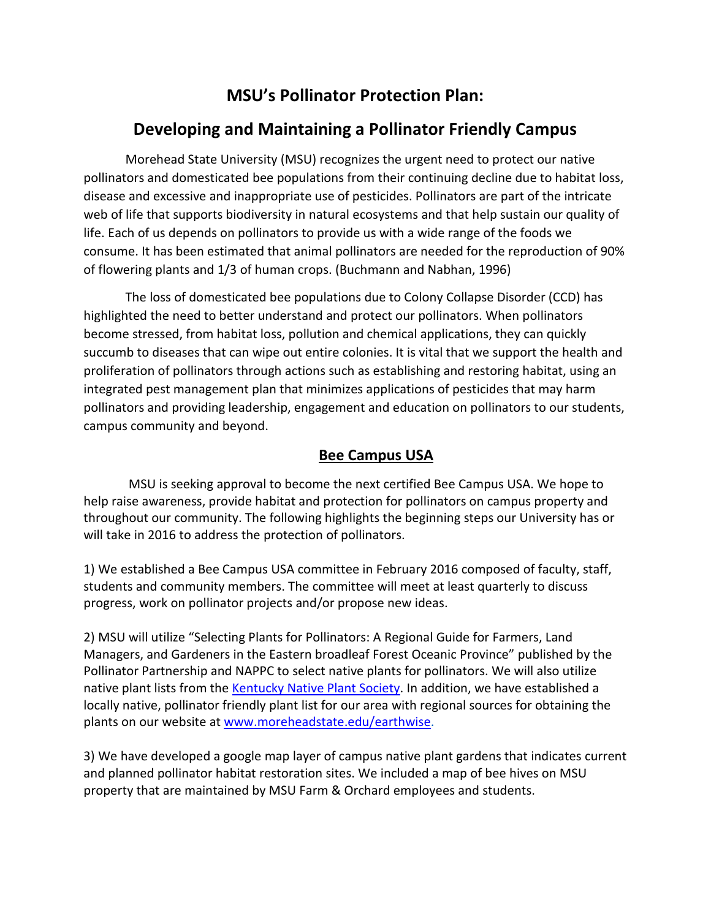# **MSU's Pollinator Protection Plan:**

# **Developing and Maintaining a Pollinator Friendly Campus**

Morehead State University (MSU) recognizes the urgent need to protect our native pollinators and domesticated bee populations from their continuing decline due to habitat loss, disease and excessive and inappropriate use of pesticides. Pollinators are part of the intricate web of life that supports biodiversity in natural ecosystems and that help sustain our quality of life. Each of us depends on pollinators to provide us with a wide range of the foods we consume. It has been estimated that animal pollinators are needed for the reproduction of 90% of flowering plants and 1/3 of human crops. (Buchmann and Nabhan, 1996)

The loss of domesticated bee populations due to Colony Collapse Disorder (CCD) has highlighted the need to better understand and protect our pollinators. When pollinators become stressed, from habitat loss, pollution and chemical applications, they can quickly succumb to diseases that can wipe out entire colonies. It is vital that we support the health and proliferation of pollinators through actions such as establishing and restoring habitat, using an integrated pest management plan that minimizes applications of pesticides that may harm pollinators and providing leadership, engagement and education on pollinators to our students, campus community and beyond.

#### **Bee Campus USA**

MSU is seeking approval to become the next certified Bee Campus USA. We hope to help raise awareness, provide habitat and protection for pollinators on campus property and throughout our community. The following highlights the beginning steps our University has or will take in 2016 to address the protection of pollinators.

1) We established a Bee Campus USA committee in February 2016 composed of faculty, staff, students and community members. The committee will meet at least quarterly to discuss progress, work on pollinator projects and/or propose new ideas.

2) MSU will utilize "Selecting Plants for Pollinators: A Regional Guide for Farmers, Land Managers, and Gardeners in the Eastern broadleaf Forest Oceanic Province" published by the Pollinator Partnership and NAPPC to select native plants for pollinators. We will also utilize native plant lists from the [Kentucky Native Plant Society.](http://www.knps.org/) In addition, we have established a locally native, pollinator friendly plant list for our area with regional sources for obtaining the plants on our website at [www.moreheadstate.edu/earthwise.](http://www.moreheadstate.edu/earthwise)

3) We have developed a google map layer of campus native plant gardens that indicates current and planned pollinator habitat restoration sites. We included a map of bee hives on MSU property that are maintained by MSU Farm & Orchard employees and students.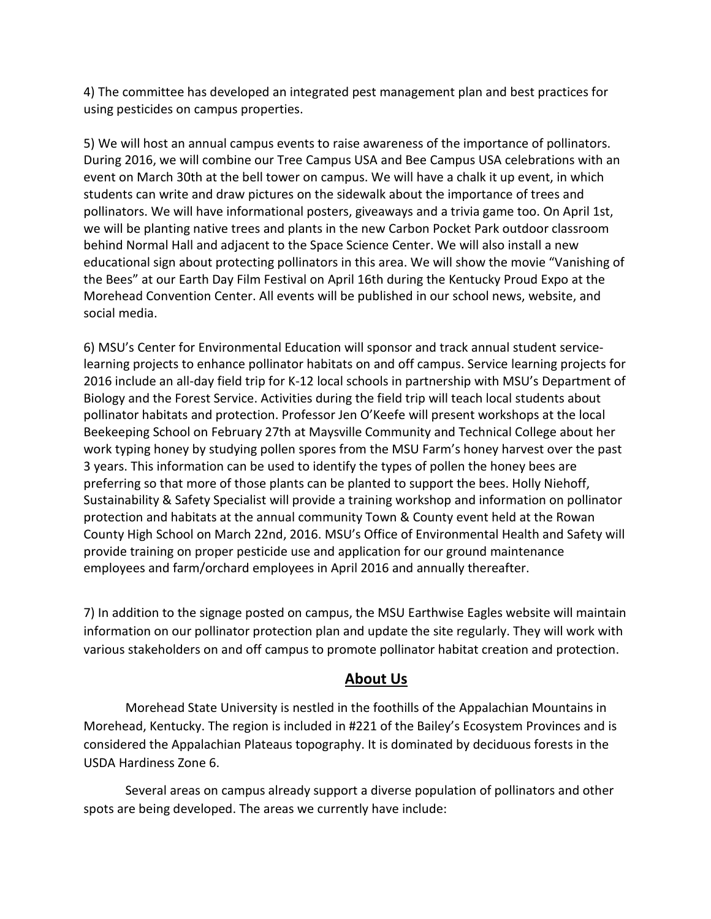4) The committee has developed an integrated pest management plan and best practices for using pesticides on campus properties.

5) We will host an annual campus events to raise awareness of the importance of pollinators. During 2016, we will combine our Tree Campus USA and Bee Campus USA celebrations with an event on March 30th at the bell tower on campus. We will have a chalk it up event, in which students can write and draw pictures on the sidewalk about the importance of trees and pollinators. We will have informational posters, giveaways and a trivia game too. On April 1st, we will be planting native trees and plants in the new Carbon Pocket Park outdoor classroom behind Normal Hall and adjacent to the Space Science Center. We will also install a new educational sign about protecting pollinators in this area. We will show the movie "Vanishing of the Bees" at our Earth Day Film Festival on April 16th during the Kentucky Proud Expo at the Morehead Convention Center. All events will be published in our school news, website, and social media.

6) MSU's Center for Environmental Education will sponsor and track annual student servicelearning projects to enhance pollinator habitats on and off campus. Service learning projects for 2016 include an all-day field trip for K-12 local schools in partnership with MSU's Department of Biology and the Forest Service. Activities during the field trip will teach local students about pollinator habitats and protection. Professor Jen O'Keefe will present workshops at the local Beekeeping School on February 27th at Maysville Community and Technical College about her work typing honey by studying pollen spores from the MSU Farm's honey harvest over the past 3 years. This information can be used to identify the types of pollen the honey bees are preferring so that more of those plants can be planted to support the bees. Holly Niehoff, Sustainability & Safety Specialist will provide a training workshop and information on pollinator protection and habitats at the annual community Town & County event held at the Rowan County High School on March 22nd, 2016. MSU's Office of Environmental Health and Safety will provide training on proper pesticide use and application for our ground maintenance employees and farm/orchard employees in April 2016 and annually thereafter.

7) In addition to the signage posted on campus, the MSU Earthwise Eagles website will maintain information on our pollinator protection plan and update the site regularly. They will work with various stakeholders on and off campus to promote pollinator habitat creation and protection.

#### **About Us**

Morehead State University is nestled in the foothills of the Appalachian Mountains in Morehead, Kentucky. The region is included in #221 of the Bailey's Ecosystem Provinces and is considered the Appalachian Plateaus topography. It is dominated by deciduous forests in the USDA Hardiness Zone 6.

Several areas on campus already support a diverse population of pollinators and other spots are being developed. The areas we currently have include: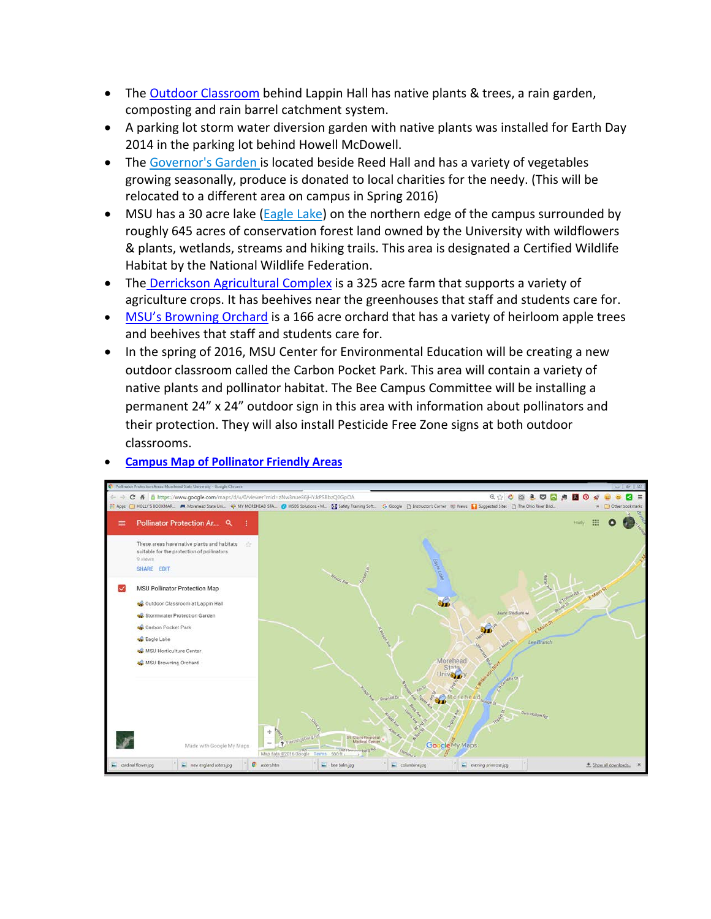- The **Outdoor Classroom** behind Lappin Hall has native plants & trees, a rain garden, composting and rain barrel catchment system.
- A parking lot storm water diversion garden with native plants was installed for Earth Day 2014 in the parking lot behind Howell McDowell.
- The [Governor's Garden](http://agpolicy.ky.gov/gardens/Pages/default.aspx) is located beside Reed Hall and has a variety of vegetables growing seasonally, produce is donated to local charities for the needy. (This will be relocated to a different area on campus in Spring 2016)
- MSU has a 30 acre lake [\(Eagle Lake\)](http://www.moreheadstate.edu/content_template.aspx?id=6707&terms=eagle%20lake) on the northern edge of the campus surrounded by roughly 645 acres of conservation forest land owned by the University with wildflowers & plants, wetlands, streams and hiking trails. This area is designated a Certified Wildlife Habitat by the National Wildlife Federation.
- The [Derrickson Agricultural Complex](http://www.moreheadstate.edu/content_template.aspx?id=6705&terms=derrickson%20farm) is a 325 acre farm that supports a variety of agriculture crops. It has beehives near the greenhouses that staff and students care for.
- [MSU's Browning Orchard](http://www.moreheadstate.edu/content_template.aspx?id=10243&terms=orchard) is a 166 acre orchard that has a variety of heirloom apple trees and beehives that staff and students care for.
- In the spring of 2016, MSU Center for Environmental Education will be creating a new outdoor classroom called the Carbon Pocket Park. This area will contain a variety of native plants and pollinator habitat. The Bee Campus Committee will be installing a permanent 24" x 24" outdoor sign in this area with information about pollinators and their protection. They will also install Pesticide Free Zone signs at both outdoor classrooms.



#### • **[Campus Map of Pollinator Friendly Areas](https://www.google.com/maps/d/u/0/edit?mid=zNw3nue86jHY.kPSBbzQ0GpOA)**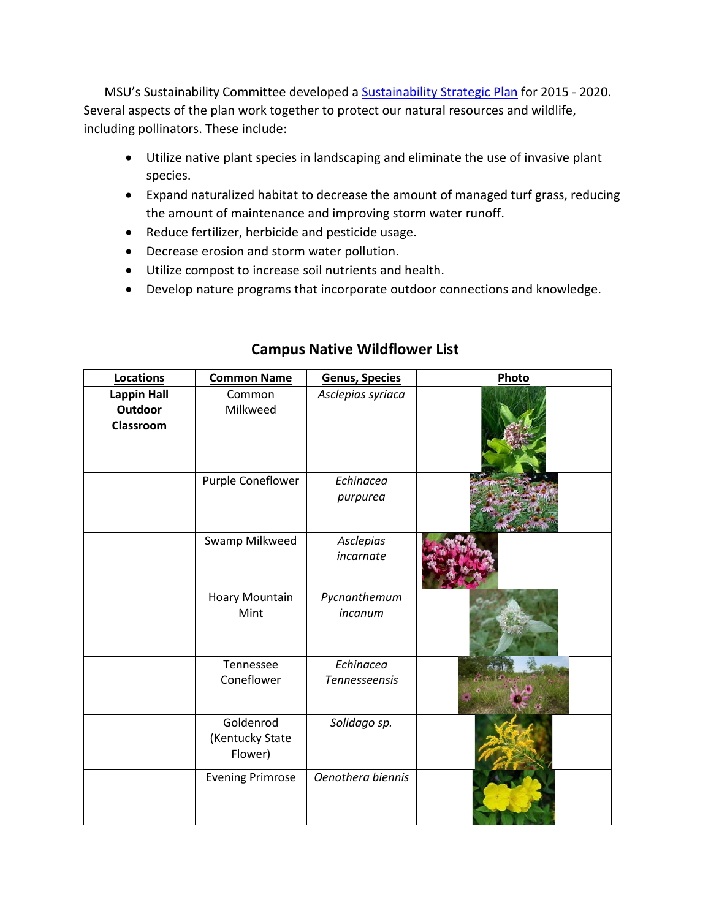MSU's Sustainability Committee developed a **Sustainability Strategic Plan** for 2015 - 2020. Several aspects of the plan work together to protect our natural resources and wildlife, including pollinators. These include:

- Utilize native plant species in landscaping and eliminate the use of invasive plant species.
- Expand naturalized habitat to decrease the amount of managed turf grass, reducing the amount of maintenance and improving storm water runoff.
- Reduce fertilizer, herbicide and pesticide usage.
- Decrease erosion and storm water pollution.
- Utilize compost to increase soil nutrients and health.
- Develop nature programs that incorporate outdoor connections and knowledge.

| Locations                                  | <b>Common Name</b>                      | Genus, Species                    | Photo |
|--------------------------------------------|-----------------------------------------|-----------------------------------|-------|
| <b>Lappin Hall</b><br>Outdoor<br>Classroom | Common<br>Milkweed                      | Asclepias syriaca                 |       |
|                                            | Purple Coneflower                       | Echinacea<br>purpurea             |       |
|                                            | Swamp Milkweed                          | Asclepias<br>incarnate            |       |
|                                            | <b>Hoary Mountain</b><br>Mint           | Pycnanthemum<br>incanum           |       |
|                                            | Tennessee<br>Coneflower                 | Echinacea<br><b>Tennesseensis</b> |       |
|                                            | Goldenrod<br>(Kentucky State<br>Flower) | Solidago sp.                      |       |
|                                            | <b>Evening Primrose</b>                 | Oenothera biennis                 |       |

## **Campus Native Wildflower List**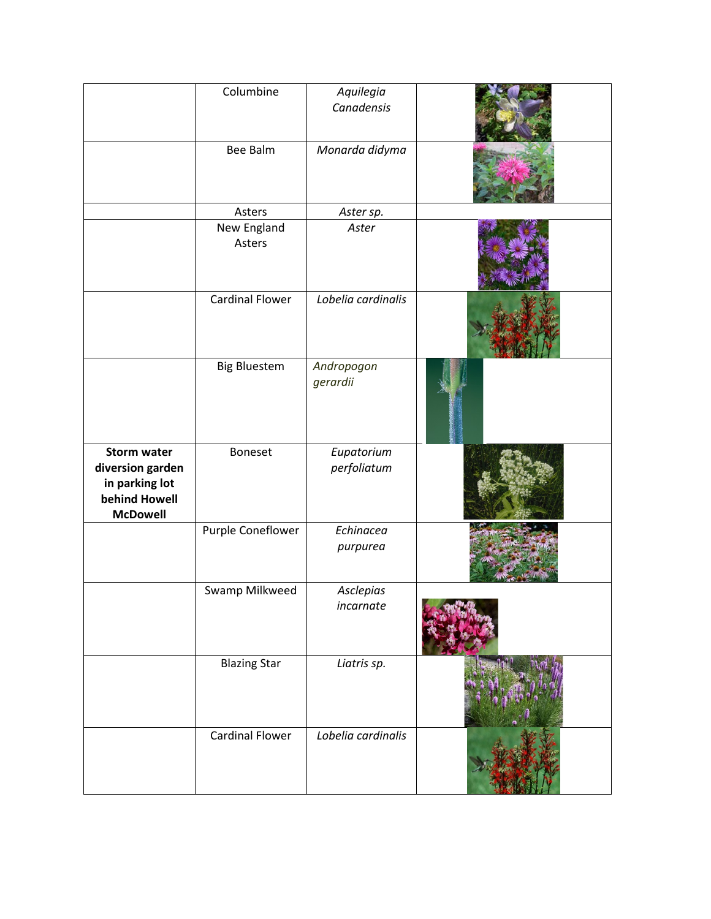|                                                                                              | Columbine              | Aquilegia<br>Canadensis   |  |
|----------------------------------------------------------------------------------------------|------------------------|---------------------------|--|
|                                                                                              | <b>Bee Balm</b>        | Monarda didyma            |  |
|                                                                                              | Asters                 | Aster sp.                 |  |
|                                                                                              | New England<br>Asters  | Aster                     |  |
|                                                                                              | <b>Cardinal Flower</b> | Lobelia cardinalis        |  |
|                                                                                              | <b>Big Bluestem</b>    | Andropogon<br>gerardii    |  |
| <b>Storm water</b><br>diversion garden<br>in parking lot<br>behind Howell<br><b>McDowell</b> | Boneset                | Eupatorium<br>perfoliatum |  |
|                                                                                              | Purple Coneflower      | Echinacea<br>purpurea     |  |
|                                                                                              | Swamp Milkweed         | Asclepias<br>incarnate    |  |
|                                                                                              | <b>Blazing Star</b>    | Liatris sp.               |  |
|                                                                                              | <b>Cardinal Flower</b> | Lobelia cardinalis        |  |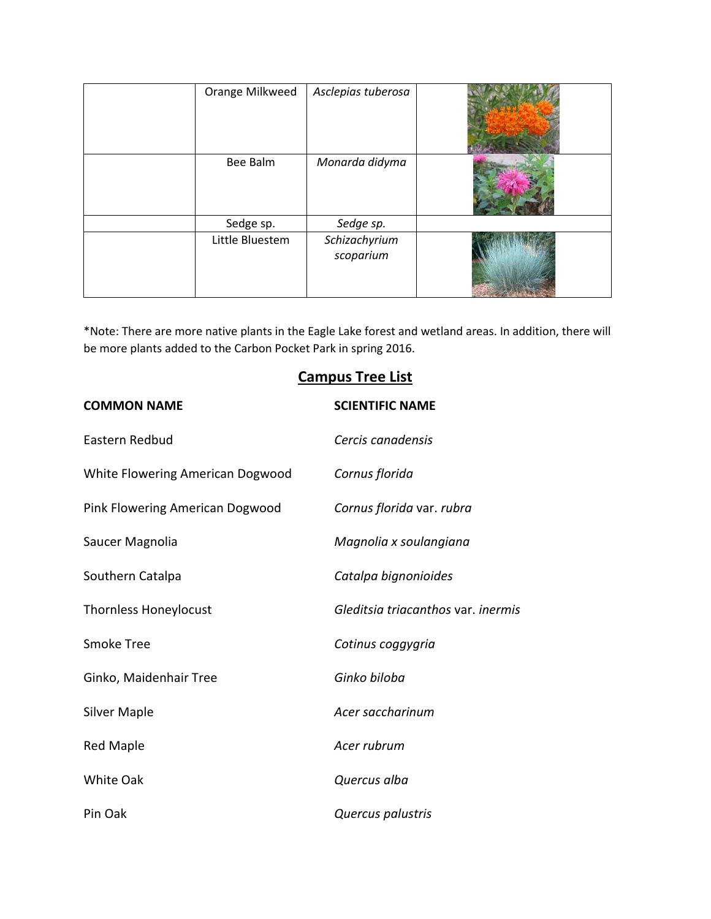| Orange Milkweed | Asclepias tuberosa         |  |
|-----------------|----------------------------|--|
| Bee Balm        | Monarda didyma             |  |
| Sedge sp.       | Sedge sp.                  |  |
| Little Bluestem | Schizachyrium<br>scoparium |  |

\*Note: There are more native plants in the Eagle Lake forest and wetland areas. In addition, there will be more plants added to the Carbon Pocket Park in spring 2016.

# **Campus Tree List**

| <b>COMMON NAME</b>               | <b>SCIENTIFIC NAME</b>             |
|----------------------------------|------------------------------------|
| Eastern Redbud                   | Cercis canadensis                  |
| White Flowering American Dogwood | Cornus florida                     |
| Pink Flowering American Dogwood  | Cornus florida var. rubra          |
| Saucer Magnolia                  | Magnolia x soulangiana             |
| Southern Catalpa                 | Catalpa bignonioides               |
| <b>Thornless Honeylocust</b>     | Gleditsia triacanthos var. inermis |
| <b>Smoke Tree</b>                | Cotinus coggygria                  |
| Ginko, Maidenhair Tree           | Ginko biloba                       |
| <b>Silver Maple</b>              | Acer saccharinum                   |
| <b>Red Maple</b>                 | Acer rubrum                        |
| White Oak                        | Quercus alba                       |
| Pin Oak                          | Quercus palustris                  |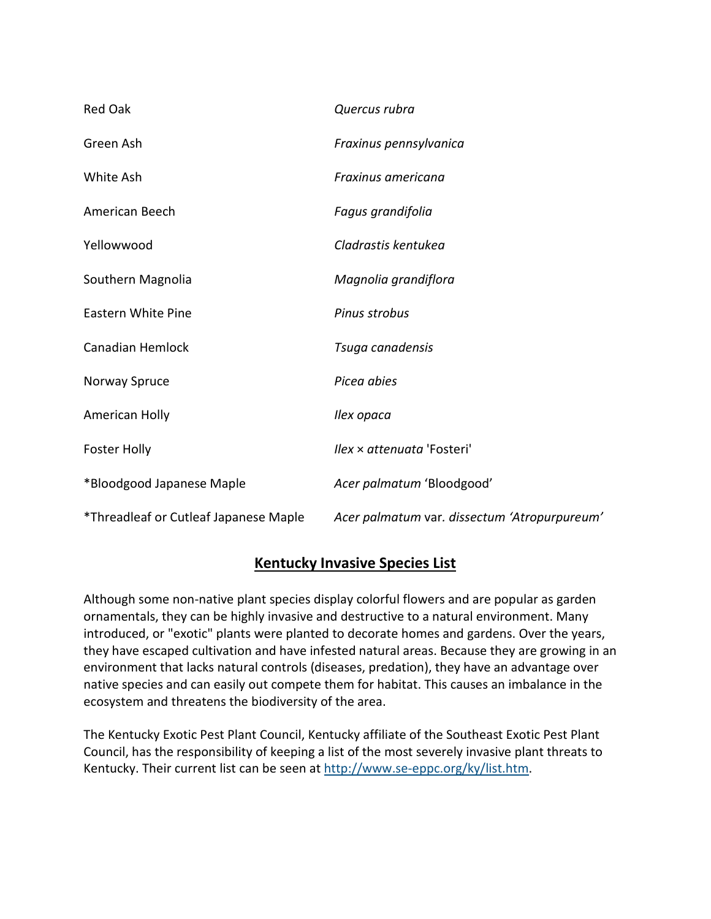| <b>Red Oak</b>                        | Quercus rubra                                |
|---------------------------------------|----------------------------------------------|
| Green Ash                             | Fraxinus pennsylvanica                       |
| White Ash                             | Fraxinus americana                           |
| American Beech                        | Fagus grandifolia                            |
| Yellowwood                            | Cladrastis kentukea                          |
| Southern Magnolia                     | Magnolia grandiflora                         |
| <b>Eastern White Pine</b>             | Pinus strobus                                |
| <b>Canadian Hemlock</b>               | Tsuga canadensis                             |
| Norway Spruce                         | Picea abies                                  |
| American Holly                        | Ilex opaca                                   |
| <b>Foster Holly</b>                   | <i>Ilex × attenuata 'Fosteri'</i>            |
| *Bloodgood Japanese Maple             | Acer palmatum 'Bloodgood'                    |
| *Threadleaf or Cutleaf Japanese Maple | Acer palmatum var. dissectum 'Atropurpureum' |

## **Kentucky Invasive Species List**

Although some non-native plant species display colorful flowers and are popular as garden ornamentals, they can be highly invasive and destructive to a natural environment. Many introduced, or "exotic" plants were planted to decorate homes and gardens. Over the years, they have escaped cultivation and have infested natural areas. Because they are growing in an environment that lacks natural controls (diseases, predation), they have an advantage over native species and can easily out compete them for habitat. This causes an imbalance in the ecosystem and threatens the biodiversity of the area.

The Kentucky Exotic Pest Plant Council, Kentucky affiliate of the Southeast Exotic Pest Plant Council, has the responsibility of keeping a list of the most severely invasive plant threats to Kentucky. Their current list can be seen at [http://www.se-eppc.org/ky/list.htm.](http://www.se-eppc.org/ky/list.htm)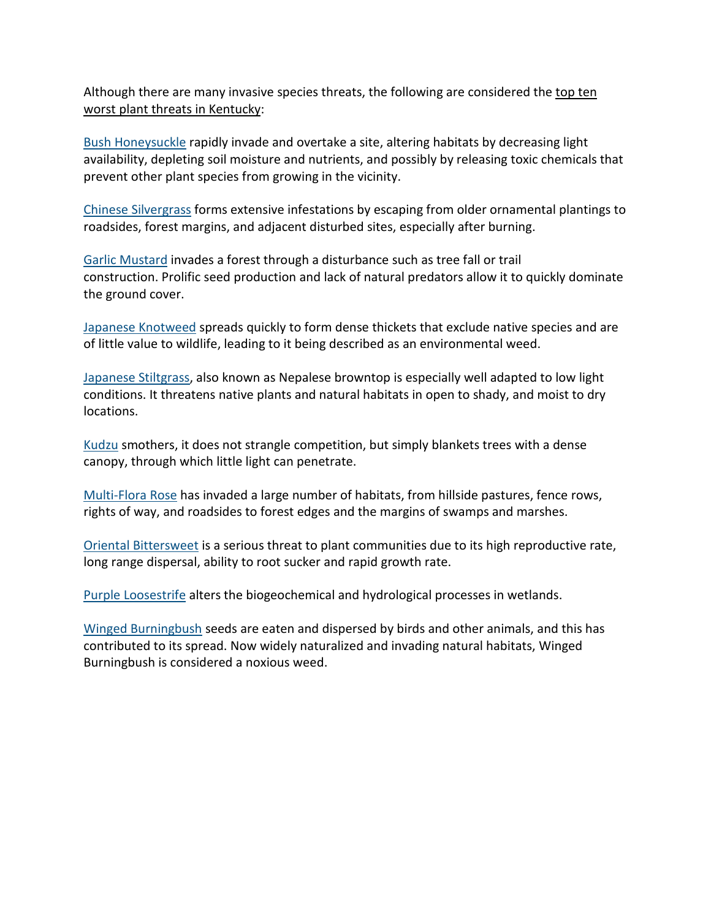Although there are many invasive species threats, the following are considered the top ten worst plant threats in Kentucky:

[Bush Honeysuckle](http://www.nps.gov/plants/alien/fact/loni1.htm) rapidly invade and overtake a site, altering habitats by decreasing light availability, depleting soil moisture and nutrients, and possibly by releasing toxic chemicals that prevent other plant species from growing in the vicinity.

[Chinese Silvergrass](http://www.invasive.org/weedcd/pdfs/wow/chinese-silvergrass.pdf) forms extensive infestations by escaping from older ornamental plantings to roadsides, forest margins, and adjacent disturbed sites, especially after burning.

[Garlic Mustard](http://www.invasivespeciesinfo.gov/plants/garlicmustard.shtml) invades a forest through a disturbance such as tree fall or trail construction. Prolific seed production and lack of natural predators allow it to quickly dominate the ground cover.

[Japanese Knotweed](http://www.invasive.org/eastern/biocontrol/12Knotweed.html) spreads quickly to form dense thickets that exclude native species and are of little value to wildlife, leading to it being described as an environmental weed.

[Japanese Stiltgrass,](http://www.nps.gov/plants/alien/fact/mivi1.htm) also known as Nepalese browntop is especially well adapted to low light conditions. It threatens native plants and natural habitats in open to shady, and moist to dry locations.

[Kudzu](http://www.invasive.org/eastern/biocontrol/25Kudzu.html) smothers, it does not strangle competition, but simply blankets trees with a dense canopy, through which little light can penetrate.

[Multi-Flora Rose](http://www.invasivespeciesinfo.gov/plants/multiflorarose.shtml) has invaded a large number of habitats, from hillside pastures, fence rows, rights of way, and roadsides to forest edges and the margins of swamps and marshes.

[Oriental Bittersweet](http://www.nps.gov/plants/alien/fact/ceor1.htm) is a serious threat to plant communities due to its high reproductive rate, long range dispersal, ability to root sucker and rapid growth rate.

[Purple Loosestrife](http://www.invasive.org/eastern/biocontrol/11PurpleLoosestrife.html) alters the biogeochemical and hydrological processes in wetlands.

[Winged Burningbush](http://www.nps.gov/plants/alien/pubs/midatlantic/eual.htm) seeds are eaten and dispersed by birds and other animals, and this has contributed to its spread. Now widely naturalized and invading natural habitats, Winged Burningbush is considered a noxious weed.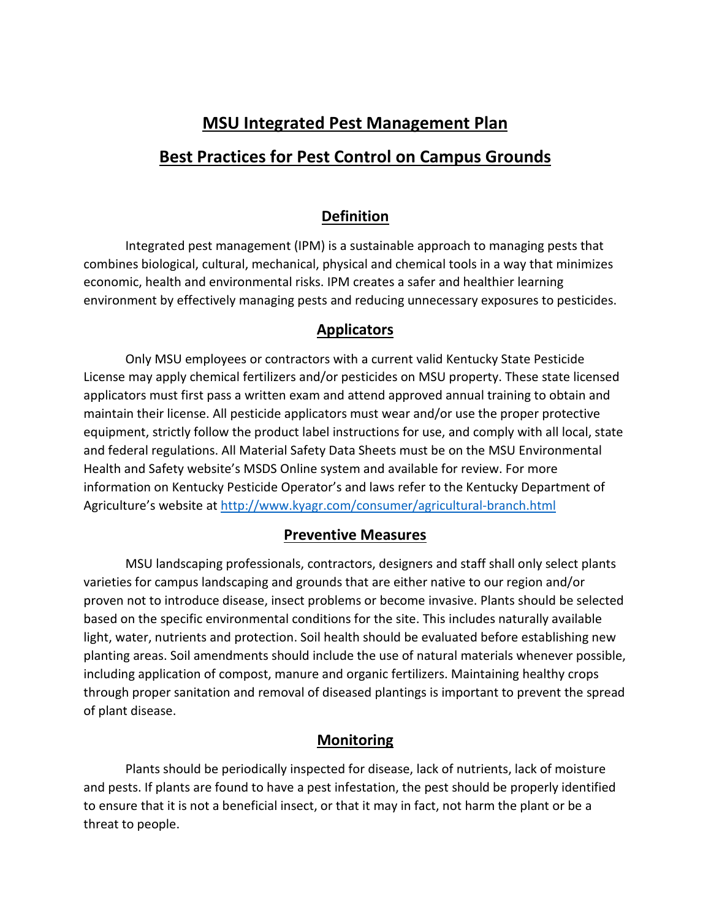# **MSU Integrated Pest Management Plan Best Practices for Pest Control on Campus Grounds**

# **Definition**

Integrated pest management (IPM) is a sustainable approach to managing pests that combines biological, cultural, mechanical, physical and chemical tools in a way that minimizes economic, health and environmental risks. IPM creates a safer and healthier learning environment by effectively managing pests and reducing unnecessary exposures to pesticides.

# **Applicators**

Only MSU employees or contractors with a current valid Kentucky State Pesticide License may apply chemical fertilizers and/or pesticides on MSU property. These state licensed applicators must first pass a written exam and attend approved annual training to obtain and maintain their license. All pesticide applicators must wear and/or use the proper protective equipment, strictly follow the product label instructions for use, and comply with all local, state and federal regulations. All Material Safety Data Sheets must be on the MSU Environmental Health and Safety website's MSDS Online system and available for review. For more information on Kentucky Pesticide Operator's and laws refer to the Kentucky Department of Agriculture's website at<http://www.kyagr.com/consumer/agricultural-branch.html>

## **Preventive Measures**

MSU landscaping professionals, contractors, designers and staff shall only select plants varieties for campus landscaping and grounds that are either native to our region and/or proven not to introduce disease, insect problems or become invasive. Plants should be selected based on the specific environmental conditions for the site. This includes naturally available light, water, nutrients and protection. Soil health should be evaluated before establishing new planting areas. Soil amendments should include the use of natural materials whenever possible, including application of compost, manure and organic fertilizers. Maintaining healthy crops through proper sanitation and removal of diseased plantings is important to prevent the spread of plant disease.

## **Monitoring**

Plants should be periodically inspected for disease, lack of nutrients, lack of moisture and pests. If plants are found to have a pest infestation, the pest should be properly identified to ensure that it is not a beneficial insect, or that it may in fact, not harm the plant or be a threat to people.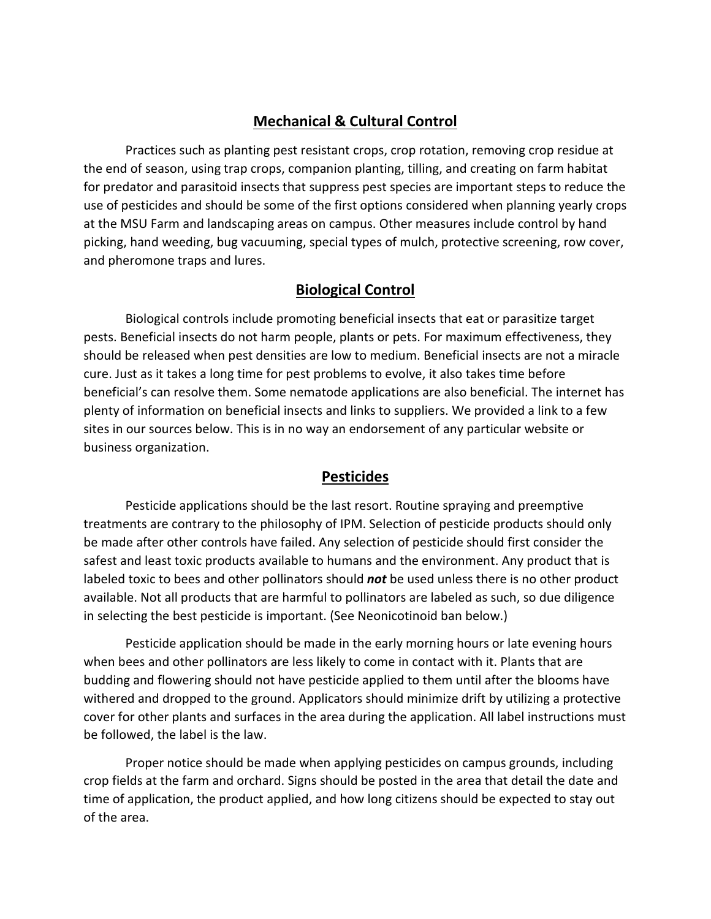#### **Mechanical & Cultural Control**

Practices such as planting pest resistant crops, crop rotation, removing crop residue at the end of season, using trap crops, companion planting, tilling, and creating on farm habitat for predator and parasitoid insects that suppress pest species are important steps to reduce the use of pesticides and should be some of the first options considered when planning yearly crops at the MSU Farm and landscaping areas on campus. Other measures include control by hand picking, hand weeding, bug vacuuming, special types of mulch, protective screening, row cover, and pheromone traps and lures.

#### **Biological Control**

Biological controls include promoting beneficial insects that eat or parasitize target pests. Beneficial insects do not harm people, plants or pets. For maximum effectiveness, they should be released when pest densities are low to medium. Beneficial insects are not a miracle cure. Just as it takes a long time for pest problems to evolve, it also takes time before beneficial's can resolve them. Some nematode applications are also beneficial. The internet has plenty of information on beneficial insects and links to suppliers. We provided a link to a few sites in our sources below. This is in no way an endorsement of any particular website or business organization.

#### **Pesticides**

Pesticide applications should be the last resort. Routine spraying and preemptive treatments are contrary to the philosophy of IPM. Selection of pesticide products should only be made after other controls have failed. Any selection of pesticide should first consider the safest and least toxic products available to humans and the environment. Any product that is labeled toxic to bees and other pollinators should *not* be used unless there is no other product available. Not all products that are harmful to pollinators are labeled as such, so due diligence in selecting the best pesticide is important. (See Neonicotinoid ban below.)

Pesticide application should be made in the early morning hours or late evening hours when bees and other pollinators are less likely to come in contact with it. Plants that are budding and flowering should not have pesticide applied to them until after the blooms have withered and dropped to the ground. Applicators should minimize drift by utilizing a protective cover for other plants and surfaces in the area during the application. All label instructions must be followed, the label is the law.

Proper notice should be made when applying pesticides on campus grounds, including crop fields at the farm and orchard. Signs should be posted in the area that detail the date and time of application, the product applied, and how long citizens should be expected to stay out of the area.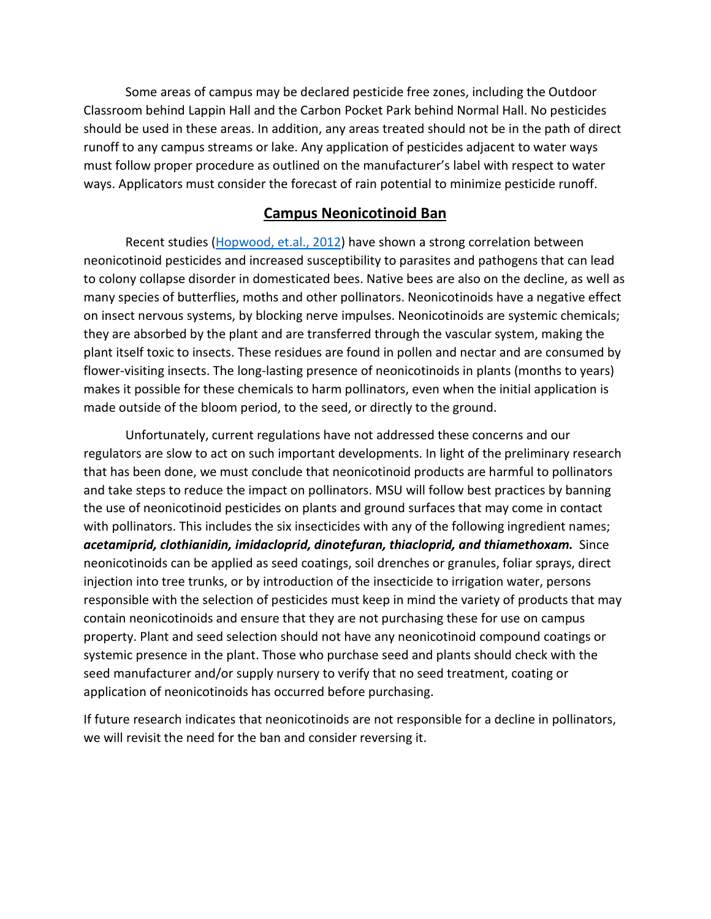Some areas of campus may be declared pesticide free zones, including the Outdoor Classroom behind Lappin Hall and the Carbon Pocket Park behind Normal Hall. No pesticides should be used in these areas. In addition, any areas treated should not be in the path of direct runoff to any campus streams or lake. Any application of pesticides adjacent to water ways must follow proper procedure as outlined on the manufacturer's label with respect to water ways. Applicators must consider the forecast of rain potential to minimize pesticide runoff.

#### **Campus Neonicotinoid Ban**

Recent studies [\(Hopwood, et.al.,](http://www.xerces.org/neonicotinoids-and-bees/) 2012) have shown a strong correlation between neonicotinoid pesticides and increased susceptibility to parasites and pathogens that can lead to colony collapse disorder in domesticated bees. Native bees are also on the decline, as well as many species of butterflies, moths and other pollinators. Neonicotinoids have a negative effect on insect nervous systems, by blocking nerve impulses. Neonicotinoids are systemic chemicals; they are absorbed by the plant and are transferred through the vascular system, making the plant itself toxic to insects. These residues are found in pollen and nectar and are consumed by flower-visiting insects. The long-lasting presence of neonicotinoids in plants (months to years) makes it possible for these chemicals to harm pollinators, even when the initial application is made outside of the bloom period, to the seed, or directly to the ground.

Unfortunately, current regulations have not addressed these concerns and our regulators are slow to act on such important developments. In light of the preliminary research that has been done, we must conclude that neonicotinoid products are harmful to pollinators and take steps to reduce the impact on pollinators. MSU will follow best practices by banning the use of neonicotinoid pesticides on plants and ground surfaces that may come in contact with pollinators. This includes the six insecticides with any of the following ingredient names; *acetamiprid, clothianidin, imidacloprid, dinotefuran, thiacloprid, and thiamethoxam.* Since neonicotinoids can be applied as seed coatings, soil drenches or granules, foliar sprays, direct injection into tree trunks, or by introduction of the insecticide to irrigation water, persons responsible with the selection of pesticides must keep in mind the variety of products that may contain neonicotinoids and ensure that they are not purchasing these for use on campus property. Plant and seed selection should not have any neonicotinoid compound coatings or systemic presence in the plant. Those who purchase seed and plants should check with the seed manufacturer and/or supply nursery to verify that no seed treatment, coating or application of neonicotinoids has occurred before purchasing.

If future research indicates that neonicotinoids are not responsible for a decline in pollinators, we will revisit the need for the ban and consider reversing it.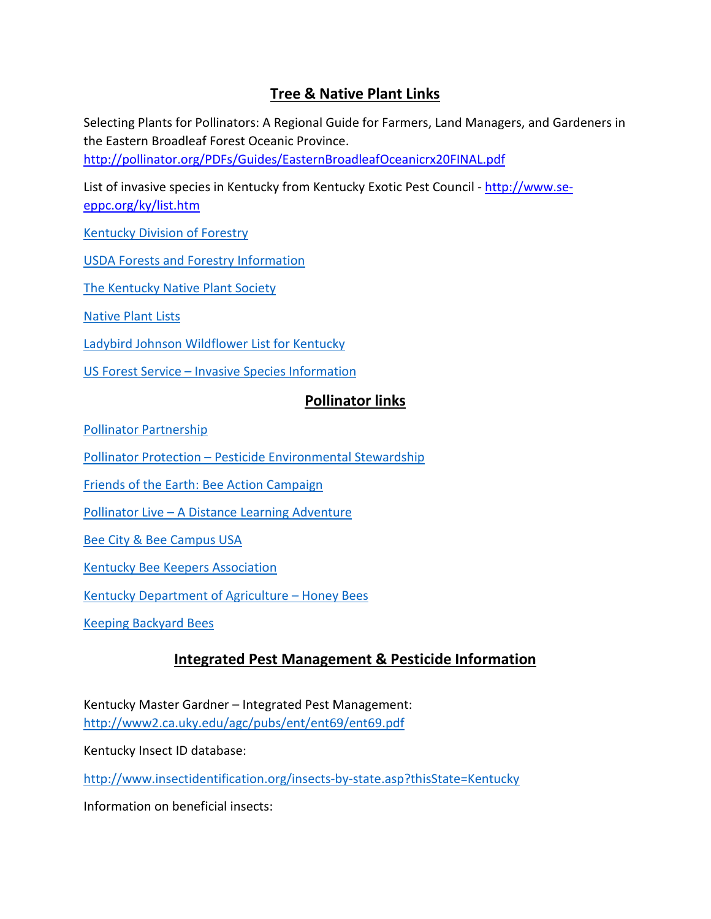# **Tree & Native Plant Links**

Selecting Plants for Pollinators: A Regional Guide for Farmers, Land Managers, and Gardeners in the Eastern Broadleaf Forest Oceanic Province.

<http://pollinator.org/PDFs/Guides/EasternBroadleafOceanicrx20FINAL.pdf>

List of invasive species in Kentucky from Kentucky Exotic Pest Council - [http://www.se](http://www.se-eppc.org/ky/list.htm)[eppc.org/ky/list.htm](http://www.se-eppc.org/ky/list.htm)

[Kentucky Division of Forestry](http://forestry.ky.gov/Pages/default.aspx)

[USDA Forests and Forestry Information](http://www.usda.gov/wps/portal/usda/usdahome?navid=FOREST_FORESTRY)

[The Kentucky Native Plant Society](http://www.knps.org/)

[Native Plant Lists](http://www.plantnative.org/rpl-kytn.htm) 

[Ladybird Johnson Wildflower List for Kentucky](http://www.wildflower.org/collections/collection.php?start=0&collection=KY&pagecount=10&pagecount=50)

US Forest Service – [Invasive Species Information](http://www.fs.fed.us/learn/plants-animals)

#### **Pollinator links**

[Pollinator Partnership](http://www.pollinator.org/index.html)

Pollinator Protection – [Pesticide Environmental Stewardship](http://pesticidestewardship.org/PollinatorProtection/Pages/default.aspx)

[Friends of the Earth: Bee Action Campaign](http://www.foe.org/projects/food-and-technology/beeaction)

Pollinator Live – [A Distance Learning Adventure](http://pollinatorlive.pwnet.org/index.php)

[Bee City & Bee Campus USA](http://www.beecityusa.org/bee-campus-usa.html)

[Kentucky Bee Keepers Association](http://www.ksbabeekeeping.org/)

[Kentucky Department of Agriculture –](http://www.kyagr.com/statevet/honeybees.html) Honey Bees

[Keeping Backyard Bees](http://keepingbackyardbees.com/)

#### **Integrated Pest Management & Pesticide Information**

Kentucky Master Gardner – Integrated Pest Management: <http://www2.ca.uky.edu/agc/pubs/ent/ent69/ent69.pdf>

Kentucky Insect ID database:

<http://www.insectidentification.org/insects-by-state.asp?thisState=Kentucky>

Information on beneficial insects: